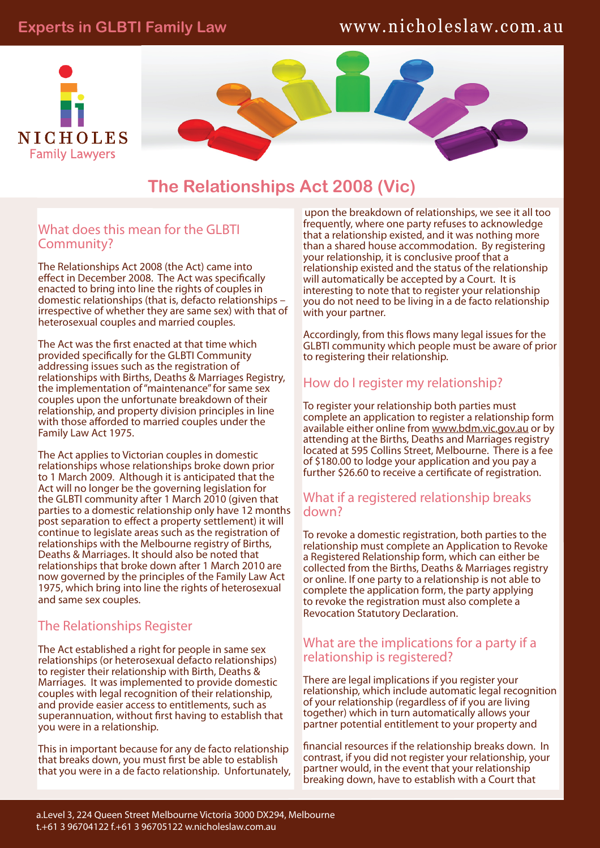# **Experts in GLBTI Family Law**

# www.nicholeslaw.com.au



**The Relationships Act 2008 (Vic)**

### What does this mean for the GLBTI Community?

The Relationships Act 2008 (the Act) came into effect in December 2008. The Act was specifically enacted to bring into line the rights of couples in domestic relationships (that is, defacto relationships – irrespective of whether they are same sex) with that of heterosexual couples and married couples.

The Act was the first enacted at that time which provided specifically for the GLBTI Community addressing issues such as the registration of relationships with Births, Deaths & Marriages Registry, the implementation of "maintenance" for same sex couples upon the unfortunate breakdown of their relationship, and property division principles in line with those afforded to married couples under the Family Law Act 1975.

The Act applies to Victorian couples in domestic relationships whose relationships broke down prior to 1 March 2009. Although it is anticipated that the Act will no longer be the governing legislation for the GLBTI community after 1 March 2010 (given that parties to a domestic relationship only have 12 months post separation to effect a property settlement) it will continue to legislate areas such as the registration of relationships with the Melbourne registry of Births, Deaths & Marriages. It should also be noted that relationships that broke down after 1 March 2010 are now governed by the principles of the Family Law Act 1975, which bring into line the rights of heterosexual and same sex couples.

## The Relationships Register

The Act established a right for people in same sex relationships (or heterosexual defacto relationships) to register their relationship with Birth, Deaths & Marriages. It was implemented to provide domestic couples with legal recognition of their relationship, and provide easier access to entitlements, such as superannuation, without first having to establish that you were in a relationship.

This in important because for any de facto relationship that breaks down, you must first be able to establish that you were in a de facto relationship. Unfortunately,

upon the breakdown of relationships, we see it all too frequently, where one party refuses to acknowledge that a relationship existed, and it was nothing more than a shared house accommodation. By registering your relationship, it is conclusive proof that a relationship existed and the status of the relationship will automatically be accepted by a Court. It is interesting to note that to register your relationship you do not need to be living in a de facto relationship with your partner.

Accordingly, from this flows many legal issues for the GLBTI community which people must be aware of prior to registering their relationship.

## How do I register my relationship?

To register your relationship both parties must complete an application to register a relationship form available either online from www.bdm.vic.gov.au or by attending at the Births, Deaths and Marriages registry located at 595 Collins Street, Melbourne. There is a fee of \$180.00 to lodge your application and you pay a further \$26.60 to receive a certificate of registration.

### What if a registered relationship breaks down?

To revoke a domestic registration, both parties to the relationship must complete an Application to Revoke a Registered Relationship form, which can either be collected from the Births, Deaths & Marriages registry or online. If one party to a relationship is not able to complete the application form, the party applying to revoke the registration must also complete a Revocation Statutory Declaration.

## What are the implications for a party if a relationship is registered?

There are legal implications if you register your relationship, which include automatic legal recognition of your relationship (regardless of if you are living together) which in turn automatically allows your partner potential entitlement to your property and

financial resources if the relationship breaks down. In contrast, if you did not register your relationship, your partner would, in the event that your relationship breaking down, have to establish with a Court that